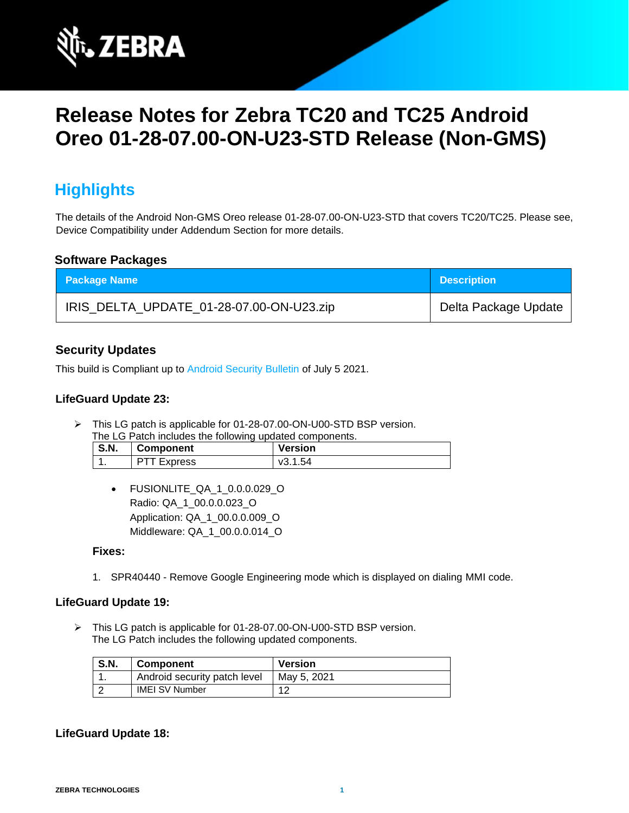

# **Release Notes for Zebra TC20 and TC25 Android Oreo 01-28-07.00-ON-U23-STD Release (Non-GMS)**

## **Highlights**

The details of the Android Non-GMS Oreo release 01-28-07.00-ON-U23-STD that covers TC20/TC25. Please see, Device Compatibility under Addendum Section for more details.

#### **Software Packages**

| <b>Package Name</b>                      | <b>Description</b>   |
|------------------------------------------|----------------------|
| IRIS_DELTA_UPDATE_01-28-07.00-ON-U23.zip | Delta Package Update |

### **Security Updates**

This build is Compliant up to [Android Security Bulletin](https://source.android.com/security/bulletin/) of July 5 2021.

#### **LifeGuard Update 23:**

➢ This LG patch is applicable for 01-28-07.00-ON-U00-STD BSP version.

| The LG Patch includes the following updated components. |                    |                |
|---------------------------------------------------------|--------------------|----------------|
| <b>S.N.</b>                                             | Component          | <b>Version</b> |
|                                                         | <b>PTT Express</b> | v3.1.54        |

• FUSIONLITE\_QA\_1\_0.0.0.029\_O Radio: QA\_1\_00.0.0.023\_O Application: QA\_1\_00.0.0.009\_O Middleware: QA\_1\_00.0.0.014\_O

#### **Fixes:**

1. SPR40440 - Remove Google Engineering mode which is displayed on dialing MMI code.

#### **LifeGuard Update 19:**

➢ This LG patch is applicable for 01-28-07.00-ON-U00-STD BSP version. The LG Patch includes the following updated components.

| <b>S.N.</b> | <b>Component</b>             | <b>Version</b> |
|-------------|------------------------------|----------------|
|             | Android security patch level | May 5, 2021    |
|             | <b>IMEI SV Number</b>        | 10             |

#### **LifeGuard Update 18:**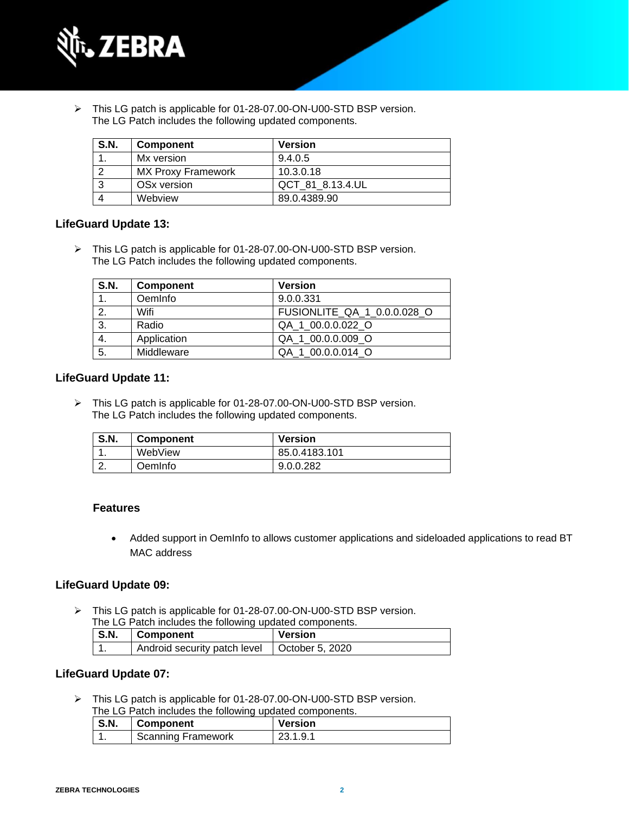

➢ This LG patch is applicable for 01-28-07.00-ON-U00-STD BSP version. The LG Patch includes the following updated components.

| <b>S.N.</b> | <b>Component</b>          | <b>Version</b>   |
|-------------|---------------------------|------------------|
|             | Mx version                | 9.4.0.5          |
|             | <b>MX Proxy Framework</b> | 10.3.0.18        |
|             | OS <sub>x</sub> version   | QCT 81 8.13.4.UL |
|             | Webview                   | 89.0.4389.90     |

#### **LifeGuard Update 13:**

➢ This LG patch is applicable for 01-28-07.00-ON-U00-STD BSP version. The LG Patch includes the following updated components.

| <b>S.N.</b> | <b>Component</b> | <b>Version</b>              |
|-------------|------------------|-----------------------------|
| 1.          | OemInfo          | 9.0.0.331                   |
|             | Wifi             | FUSIONLITE QA 1 0.0.0.028 O |
| 3.          | Radio            | QA 1 00.0.0.022 O           |
| 4.          | Application      | QA 1 00.0.0.009 O           |
| 5.          | Middleware       | QA 1 00.0.0.014 O           |

#### **LifeGuard Update 11:**

➢ This LG patch is applicable for 01-28-07.00-ON-U00-STD BSP version. The LG Patch includes the following updated components.

| <b>S.N.</b> | <b>Component</b> | <b>Version</b> |
|-------------|------------------|----------------|
| . .         | WebView          | 85.0.4183.101  |
| <u>.</u> .  | <b>DemInfo</b>   | 9.0.0.282      |

#### **Features**

• Added support in OemInfo to allows customer applications and sideloaded applications to read BT MAC address

#### **LifeGuard Update 09:**

➢ This LG patch is applicable for 01-28-07.00-ON-U00-STD BSP version. The LG Patch includes the following updated components.

| THE LOT alon includes the following apaated components. |                                                |         |
|---------------------------------------------------------|------------------------------------------------|---------|
| <b>S.N.</b>                                             | Component                                      | Version |
|                                                         | Android security patch level   October 5, 2020 |         |

#### **LifeGuard Update 07:**

➢ This LG patch is applicable for 01-28-07.00-ON-U00-STD BSP version. The LG Patch includes the following updated components.

| $\mathsf{S}.\mathsf{N}$ . | <b>THE LOT AIGHT INGRUES THE TUILOWING UPGATED COMPONEMIS.</b><br>  Component | <b>Version</b> |
|---------------------------|-------------------------------------------------------------------------------|----------------|
|                           | Scanning Framework                                                            | 23.1.9.1       |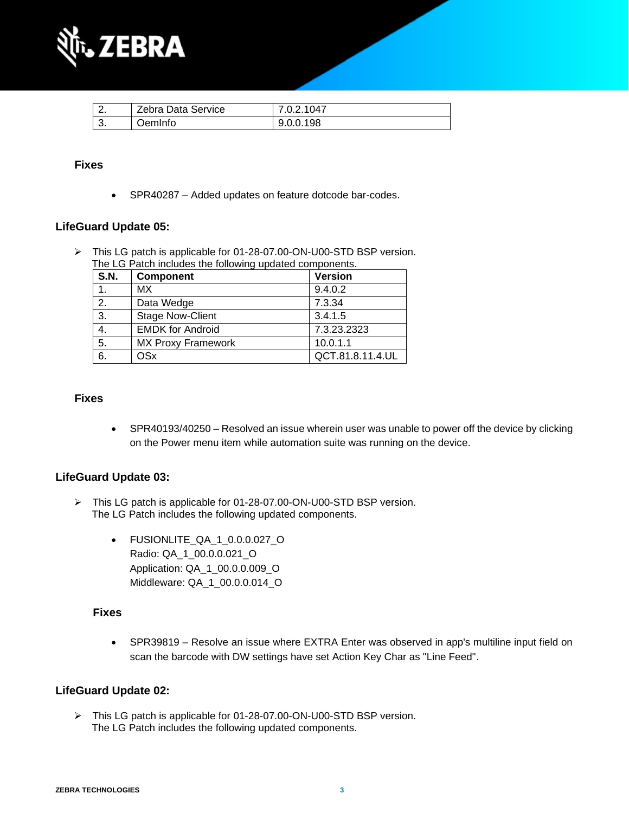

| Zebra Data Service | 7.0.2.1047 |
|--------------------|------------|
| )emInfo            | 9.0.0.198  |

#### **Fixes**

• SPR40287 – Added updates on feature dotcode bar-codes.

#### **LifeGuard Update 05:**

➢ This LG patch is applicable for 01-28-07.00-ON-U00-STD BSP version. The LG Patch includes the following updated components.

| <b>S.N.</b> | <b>Component</b>          | <b>Version</b>   |
|-------------|---------------------------|------------------|
| 1.          | МX                        | 9.4.0.2          |
| 2.          | Data Wedge                | 7.3.34           |
| 3.          | <b>Stage Now-Client</b>   | 3.4.1.5          |
| 4.          | <b>EMDK for Android</b>   | 7.3.23.2323      |
| 5.          | <b>MX Proxy Framework</b> | 10.0.1.1         |
| 6.          | <b>OSx</b>                | QCT.81.8.11.4.UL |

#### **Fixes**

• SPR40193/40250 – Resolved an issue wherein user was unable to power off the device by clicking on the Power menu item while automation suite was running on the device.

#### **LifeGuard Update 03:**

- ➢ This LG patch is applicable for 01-28-07.00-ON-U00-STD BSP version. The LG Patch includes the following updated components.
	- FUSIONLITE\_QA\_1\_0.0.0.027\_O Radio: QA\_1\_00.0.0.021\_O Application: QA\_1\_00.0.0.009\_O Middleware: QA\_1\_00.0.0.014\_O

#### **Fixes**

• SPR39819 – Resolve an issue where EXTRA Enter was observed in app's multiline input field on scan the barcode with DW settings have set Action Key Char as "Line Feed".

#### **LifeGuard Update 02:**

➢ This LG patch is applicable for 01-28-07.00-ON-U00-STD BSP version. The LG Patch includes the following updated components.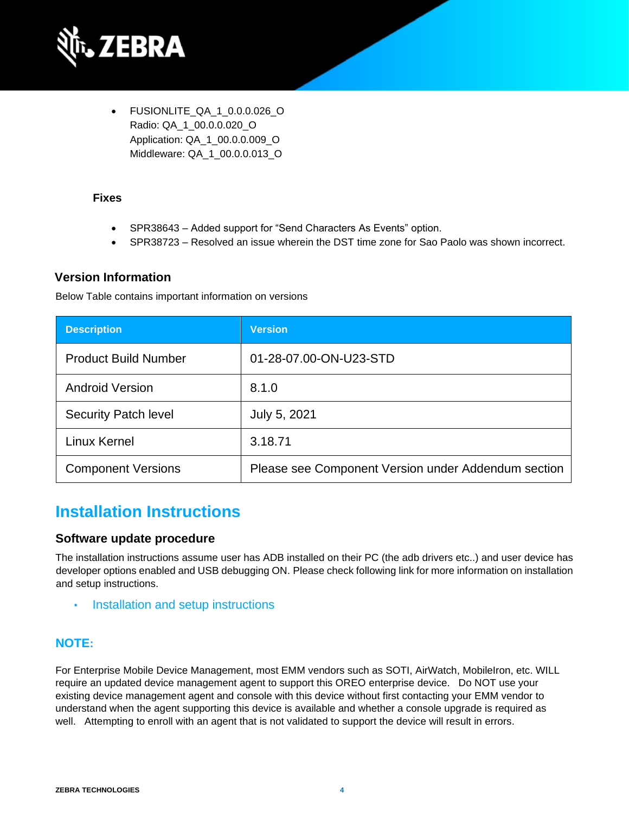

• FUSIONLITE\_QA\_1\_0.0.0.026\_O Radio: QA\_1\_00.0.0.020\_O Application: QA\_1\_00.0.0.009\_O Middleware: QA\_1\_00.0.0.013\_O

#### **Fixes**

- SPR38643 Added support for "Send Characters As Events" option.
- SPR38723 Resolved an issue wherein the DST time zone for Sao Paolo was shown incorrect.

#### **Version Information**

Below Table contains important information on versions

| <b>Description</b>          | <b>Version</b>                                      |
|-----------------------------|-----------------------------------------------------|
| <b>Product Build Number</b> | 01-28-07.00-ON-U23-STD                              |
| <b>Android Version</b>      | 8.1.0                                               |
| <b>Security Patch level</b> | July 5, 2021                                        |
| Linux Kernel                | 3.18.71                                             |
| <b>Component Versions</b>   | Please see Component Version under Addendum section |

### **Installation Instructions**

#### **Software update procedure**

The installation instructions assume user has ADB installed on their PC (the adb drivers etc..) and user device has developer options enabled and USB debugging ON. Please check following link for more information on installation and setup instructions.

• [Installation and setup instructions](https://www.zebra.com/content/dam/zebra_new_ia/en-us/software/operating-system/tc20-operating-system/Android-O-OS-Update-TC20-and-TC25-NGMS.pdf)

### **NOTE:**

For Enterprise Mobile Device Management, most EMM vendors such as SOTI, AirWatch, MobileIron, etc. WILL require an updated device management agent to support this OREO enterprise device. Do NOT use your existing device management agent and console with this device without first contacting your EMM vendor to understand when the agent supporting this device is available and whether a console upgrade is required as well. Attempting to enroll with an agent that is not validated to support the device will result in errors.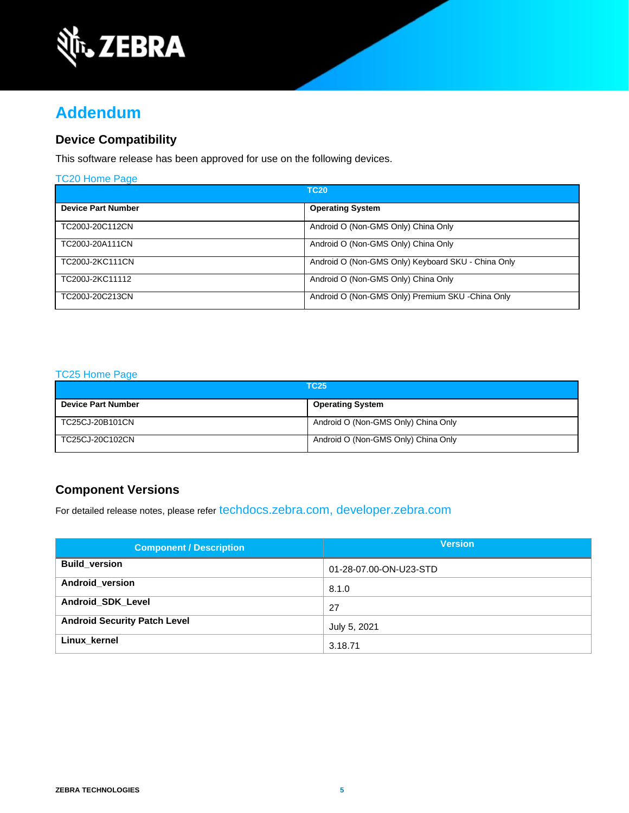

## **Addendum**

### **Device Compatibility**

This software release has been approved for use on the following devices.

| <b>TC20 Home Page</b>     |                                                    |  |
|---------------------------|----------------------------------------------------|--|
| <b>TC20</b>               |                                                    |  |
| <b>Device Part Number</b> | <b>Operating System</b>                            |  |
| TC200J-20C112CN           | Android O (Non-GMS Only) China Only                |  |
| TC200J-20A111CN           | Android O (Non-GMS Only) China Only                |  |
| TC200J-2KC111CN           | Android O (Non-GMS Only) Keyboard SKU - China Only |  |
| TC200J-2KC11112           | Android O (Non-GMS Only) China Only                |  |
| TC200J-20C213CN           | Android O (Non-GMS Only) Premium SKU - China Only  |  |

#### [TC25 Home Page](https://www.zebra.com/us/en/support-downloads/software/operating-system/tc25-operating-system-non-gms.html)

| <b>TC25</b>               |                                     |
|---------------------------|-------------------------------------|
| <b>Device Part Number</b> | <b>Operating System</b>             |
| TC25CJ-20B101CN           | Android O (Non-GMS Only) China Only |
| TC25CJ-20C102CN           | Android O (Non-GMS Only) China Only |

### **Component Versions**

For detailed release notes, please refer [techdocs.zebra.com,](https://techdocs.zebra.com/) [developer.zebra.com](https://developer.zebra.com/)

| <b>Component / Description</b>      | <b>Version</b>         |
|-------------------------------------|------------------------|
| <b>Build version</b>                | 01-28-07.00-ON-U23-STD |
| Android_version                     | 8.1.0                  |
| <b>Android SDK Level</b>            | 27                     |
| <b>Android Security Patch Level</b> | July 5, 2021           |
| Linux kernel                        | 3.18.71                |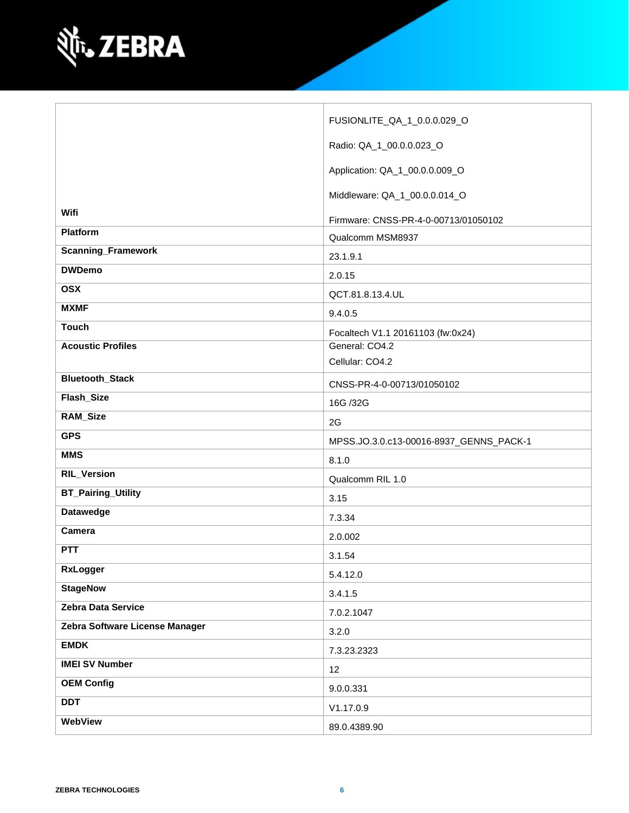

|                                | FUSIONLITE_QA_1_0.0.0.029_O             |
|--------------------------------|-----------------------------------------|
|                                | Radio: QA_1_00.0.0.023_O                |
|                                | Application: QA_1_00.0.0.009_O          |
|                                | Middleware: QA_1_00.0.0.014_O           |
| Wifi                           | Firmware: CNSS-PR-4-0-00713/01050102    |
| Platform                       | Qualcomm MSM8937                        |
| <b>Scanning_Framework</b>      | 23.1.9.1                                |
| <b>DWDemo</b>                  | 2.0.15                                  |
| <b>OSX</b>                     | QCT.81.8.13.4.UL                        |
| <b>MXMF</b>                    | 9.4.0.5                                 |
| <b>Touch</b>                   | Focaltech V1.1 20161103 (fw:0x24)       |
| <b>Acoustic Profiles</b>       | General: CO4.2                          |
|                                | Cellular: CO4.2                         |
| <b>Bluetooth_Stack</b>         | CNSS-PR-4-0-00713/01050102              |
| Flash_Size                     | 16G /32G                                |
| RAM_Size                       | 2G                                      |
| <b>GPS</b>                     | MPSS.JO.3.0.c13-00016-8937_GENNS_PACK-1 |
| <b>MMS</b>                     | 8.1.0                                   |
| <b>RIL_Version</b>             | Qualcomm RIL 1.0                        |
| <b>BT_Pairing_Utility</b>      | 3.15                                    |
| <b>Datawedge</b>               | 7.3.34                                  |
| Camera                         | 2.0.002                                 |
| <b>PTT</b>                     | 3.1.54                                  |
| <b>RxLogger</b>                | 5.4.12.0                                |
| <b>StageNow</b>                | 3.4.1.5                                 |
| Zebra Data Service             | 7.0.2.1047                              |
| Zebra Software License Manager | 3.2.0                                   |
| <b>EMDK</b>                    | 7.3.23.2323                             |
| <b>IMEI SV Number</b>          | 12                                      |
| <b>OEM Config</b>              | 9.0.0.331                               |
| <b>DDT</b>                     | V1.17.0.9                               |
| WebView                        | 89.0.4389.90                            |